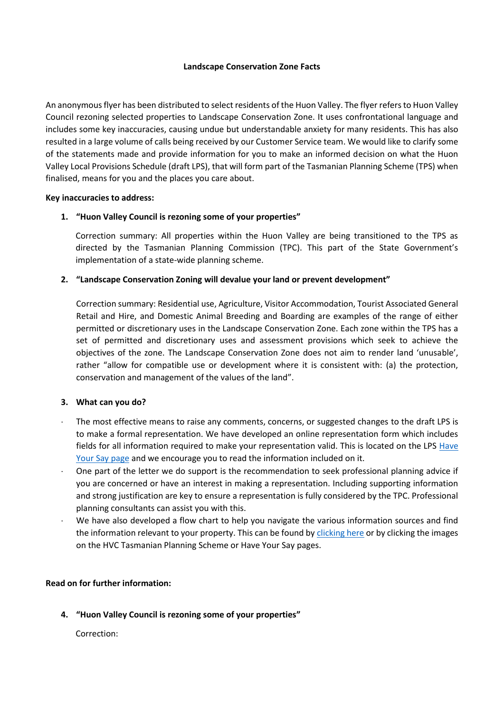## **Landscape Conservation Zone Facts**

An anonymous flyer has been distributed to select residents of the Huon Valley. The flyer refers to Huon Valley Council rezoning selected properties to Landscape Conservation Zone. It uses confrontational language and includes some key inaccuracies, causing undue but understandable anxiety for many residents. This has also resulted in a large volume of calls being received by our Customer Service team. We would like to clarify some of the statements made and provide information for you to make an informed decision on what the Huon Valley Local Provisions Schedule (draft LPS), that will form part of the Tasmanian Planning Scheme (TPS) when finalised, means for you and the places you care about.

## **Key inaccuracies to address:**

## **1. "Huon Valley Council is rezoning some of your properties"**

Correction summary: All properties within the Huon Valley are being transitioned to the TPS as directed by the Tasmanian Planning Commission (TPC). This part of the State Government's implementation of a state-wide planning scheme.

## **2. "Landscape Conservation Zoning will devalue your land or prevent development"**

Correction summary: Residential use, Agriculture, Visitor Accommodation, Tourist Associated General Retail and Hire, and Domestic Animal Breeding and Boarding are examples of the range of either permitted or discretionary uses in the Landscape Conservation Zone. Each zone within the TPS has a set of permitted and discretionary uses and assessment provisions which seek to achieve the objectives of the zone. The Landscape Conservation Zone does not aim to render land 'unusable', rather "allow for compatible use or development where it is consistent with: (a) the protection, conservation and management of the values of the land".

## **3. What can you do?**

- The most effective means to raise any comments, concerns, or suggested changes to the draft LPS is to make a formal representation. We have developed an online representation form which includes fields for all information required to make your representation valid. This is located on the LPS [Have](https://www.huonvalley.tas.gov.au/consultations/huon-valley-draft-local-provisions-schedule/)  [Your Say page](https://www.huonvalley.tas.gov.au/consultations/huon-valley-draft-local-provisions-schedule/) and we encourage you to read the information included on it.
- One part of the letter we do support is the recommendation to seek professional planning advice if you are concerned or have an interest in making a representation. Including supporting information and strong justification are key to ensure a representation is fully considered by the TPC. Professional planning consultants can assist you with this.
- We have also developed a flow chart to help you navigate the various information sources and find the information relevant to your property. This can be found b[y clicking here](https://www.huonvalley.tas.gov.au/wp-content/uploads/2022/01/Visio-LPS-flowchart-1.pdf) or by clicking the images on the HVC Tasmanian Planning Scheme or Have Your Say pages.

## **Read on for further information:**

**4. "Huon Valley Council is rezoning some of your properties"**

Correction: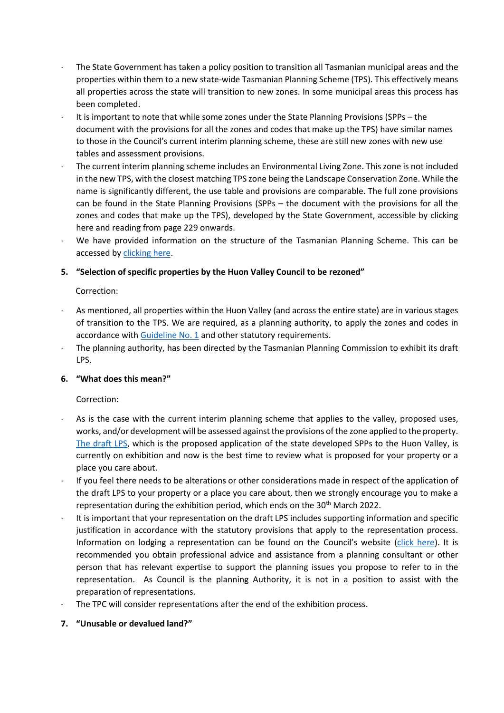- The State Government has taken a policy position to transition all Tasmanian municipal areas and the properties within them to a new state-wide Tasmanian Planning Scheme (TPS). This effectively means all properties across the state will transition to new zones. In some municipal areas this process has been completed.
- It is important to note that while some zones under the State Planning Provisions (SPPs the document with the provisions for all the zones and codes that make up the TPS) have similar names to those in the Council's current interim planning scheme, these are still new zones with new use tables and assessment provisions.
- The current interim planning scheme includes an Environmental Living Zone. This zone is not included in the new TPS, with the closest matching TPS zone being the Landscape Conservation Zone. While the name is significantly different, the use table and provisions are comparable. The full zone provisions can be found in the State Planning Provisions (SPPs – the document with the provisions for all the zones and codes that make up the TPS), developed by the State Government, accessible by [clicking](https://www.huonvalley.tas.gov.au/wp-content/uploads/2022/01/State_Planning_Provisions.pdf)  [here](https://www.huonvalley.tas.gov.au/wp-content/uploads/2022/01/State_Planning_Provisions.pdf) and reading from page 229 onwards.
- We have provided information on the structure of the Tasmanian Planning Scheme. This can be accessed b[y clicking here.](https://www.huonvalley.tas.gov.au/services/planning-2/tasmanian-planning-scheme/?highlight=planning%20)

# **5. "Selection of specific properties by the Huon Valley Council to be rezoned"**

## Correction:

- As mentioned, all properties within the Huon Valley (and across the entire state) are in various stages of transition to the TPS. We are required, as a planning authority, to apply the zones and codes in accordance with [Guideline No. 1](https://www.planning.tas.gov.au/__data/assets/pdf_file/0006/583854/Section-8A-Guideline-No.-1-Local-Provisions-Schedule-LPS-zone-and-code-application-version-2.pdf) and other statutory requirements.
- The planning authority, has been directed by the Tasmanian Planning Commission to exhibit its draft LPS.

# **6. "What does this mean?"**

# Correction:

- As is the case with the current interim planning scheme that applies to the valley, proposed uses, works, and/or development will be assessed against the provisions of the zone applied to the property. [The draft LPS,](https://drive.google.com/file/d/1FCtyNJ2FkQ9H8NajF8yQXjWWa23dcz4S/view) which is the proposed application of the state developed SPPs to the Huon Valley, is currently on exhibition and now is the best time to review what is proposed for your property or a place you care about.
- If you feel there needs to be alterations or other considerations made in respect of the application of the draft LPS to your property or a place you care about, then we strongly encourage you to make a representation during the exhibition period, which ends on the 30<sup>th</sup> March 2022.
- It is important that your representation on the draft LPS includes supporting information and specific justification in accordance with the statutory provisions that apply to the representation process. Information on lodging a representation can be found on the Council's website [\(click here\)](https://www.huonvalley.tas.gov.au/consultations/huon-valley-draft-local-provisions-schedule/). It is recommended you obtain professional advice and assistance from a planning consultant or other person that has relevant expertise to support the planning issues you propose to refer to in the representation. As Council is the planning Authority, it is not in a position to assist with the preparation of representations.
- The TPC will consider representations after the end of the exhibition process.

## **7. "Unusable or devalued land?"**